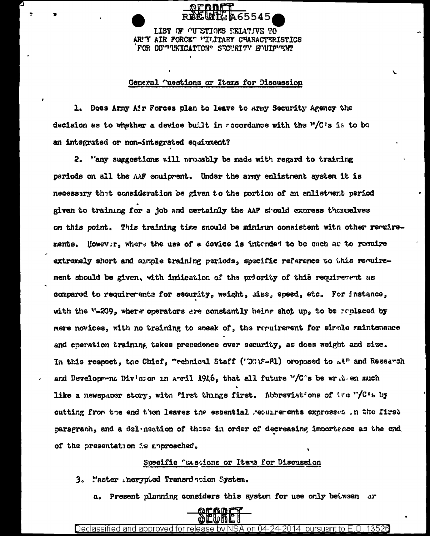LIST OF OUTSTIONS RELATIVE TO AR'T AIR FORCE" "ILITARY CHARACTERISTICS FOR COUPUNICATIONS SECURITY EVUIPUSME

#### General ^uestions or Items for Discussion

1. Does Army Air Forces plan to leave to Army Security Agency the decision as to whether a device built in recordance with the "/C's is to bo an integrated or non-integrated equinment?

2. ''any suggestions will procably be made with regard to training pariods on all the AAF equipment. Under the army enlistment system it is necessary that consideration be given to the portion of an enlistment pariod given to training for a job and certainly the AAF should express themselves on this point. This training time snould be minimum consistent with other requirements. However, where the use of a device is intended to be such as to require extremely short and simple training periods, specific reference to this requirement should be given, with indication of the priority of this requirement as compared to requirerents for security, weight, size, speed, etc. For instance, with the "-209, where operators are constantly being shot up, to be replaced by mere novices, with no training to speak of, the requirement for simple maintenance and operation training takes precedence over security, as does weight and size. In this respect, the Chief, "echnical Staff ('OGAS-RI) proposed to AP and Research and Development Div'sson in anril 1946, that all future "/C's be write an much like a newspaper story, with "irst things first. Abbreviat'ons of tre "/C't by cutting from the end then leaves the essential requirements expressed in the first paragranh, and a delenastion of these in order of decreasing importance as the end of the presentation is approached.

#### Specific Tussions or Items for Discussion

3. l'aster incrypted Transriscion System.

a. Present planning considers this system for use only between ar



Declassified and approved for release by NSA on 04-24-2014  $\,$  pursuant to E.O. 13526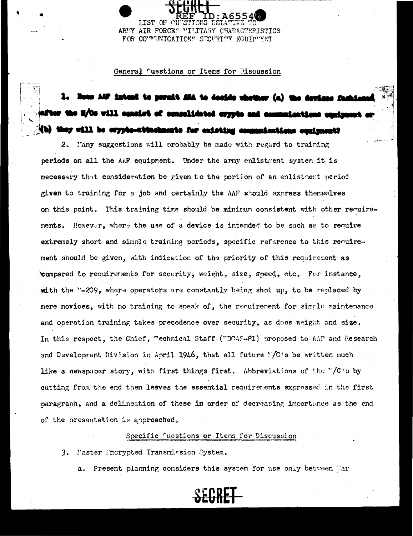LIST OF ARMY AIR FORCES "ILITARY CHARACTERISTICS FOR CO'TUNICATIONS SECURITY EQUIPUENT

General fuestions or Items for Discussion

## m AAF intend to permit ASA to docide whether (a) the devic M/Os will consist of conselidated erypto and communications of (b) they will be erypto-attachments for existing communications equipment?

2. Hany suggestions will probably be made with regard to training periods on all the AAF equipment. Under the army enlistment system it is necessary that consideration be given to the portion of an enlistment period given to training for a job and certainly the AAF should express themselves on this point. This training time should be minimum consistent with other reculrements. However, where the use of a device is intended to be such as to require extremely short and simple training periods, specific reference to this requirement should be given, with indication of the priority of this requirement as compared to requirements for security, weight, size, speed, etc. For instance, with the "-209, where operators are constantly being shot up, to be replaced by mere novices, with no training to soeak of, the recuirement for simple maintenance and operation training takes precedence over security, as does weight and size. In this respect, the Chief, "echnical Staff ("DGAS-81) proposed to AAP and Research" and Development Division in April 1946, that all future MC's be written much like a newspaper story, with first things first. Abbreviations of the "/C's by cutting from the end then leaves the essential requirements expressed in the first paragraph, and a delineation of these in order of decreasing importance as the end of the presentation is approached.

#### Specific Questions or Items for Discussion

3. Master Encrypted Transmission System.

a. Present planning considers this system for use only between Mar

# SECRET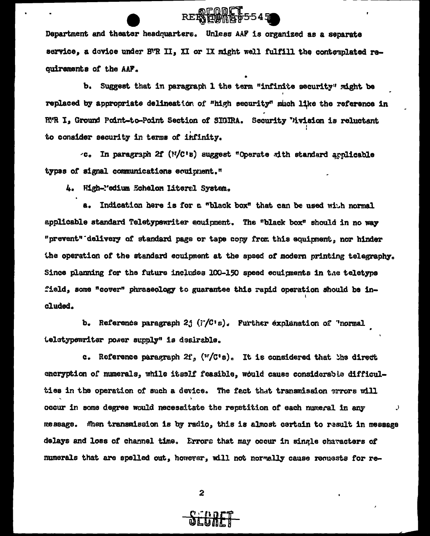Department and theater headquarters. Unless AAF is organized as a separate service, a device under BR II, XI or IX might well fulfill the contemplated requiraments of the AAF.

REPAIR 455545

b. Suggest that in paragraph 1 the term "infinite security" might be replaced by appropriate delineation of "high security" much like the reference in R'R I, Ground Point-to-Point Section of SIGIRA. Security Vivision is reluctant to consider security in terms of infinity.

 $\sim$ c. In paragraph 2f ( $N/C$ 's) suggest "Operate with standard applicable types of signal communications equipment."

4. High-"edium Echelon Literal System.

a. Indication here is for a "black box" that can be used with normal applicable standard Teletypewriter equipment. The "black box" should in no way "prevent" delivery of standard page or tape copy from this equipment, nor hinder the operation of the standard eculpment at the spaed of modern printing telegraphy. Since planning for the future includes 100-150 speed couigments in the teletype field, some "cover" phraseology to guarantee this rapid operation should be included.

b. Reference paragraph 2j (F/C's). Further explanation of "normal teletypewriter power supply" is desirable.

c. Reference paragraph  $2f_s$  ( $\mathbf{F}/\mathbf{C}^*s$ ). It is considered that the direct encryption of numerals, while itself feasible, would cause considerable difficulties in the operation of such a device. The fact that transmission errors will occur in some degree would necessitate the repetition of each numeral in any  $\cdot$ message. When transmission is by radio, this is almost certain to result in message delays and loss of channel time. Errors that may occur in single characters of numerals that are spelled out, however, will not normally cause requests for re-

 $\mathbf{z}$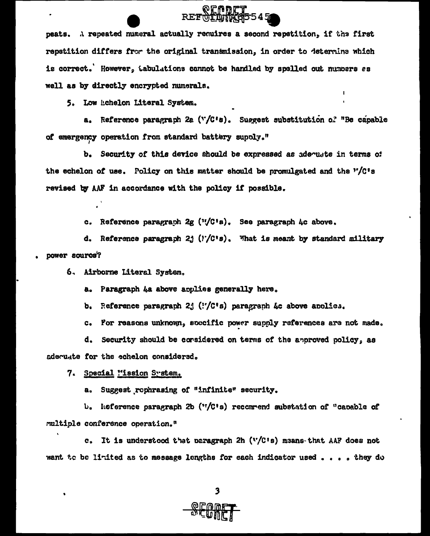## REFOLDING5545

peats. A repeated numeral actually requires a second repetition. if the first repetition differs from the original transmission, in order to determine which is correct.' However, tabulations cannot be handled by spelled out numbers as well as by directly encrypted numerals.

5. Low Echelon Literal Svstem.

a. Reference paragraph 2a ("/C's). Suggest substitution of "Be capable of emergency operation from standard battery supply."

b. Security of this device should be expressed as adequate in terms of the echelon of use. Policy on this matter should be promulgated and the "/C's revised by AAF in accordance with the policy if possible.

c. Reference paragraph  $2e$  ( $v/C$ 's). See paragraph  $hc$  above.

d. Reference paragraph 2j  $('/C's)$ . What is meant by standard military power source?

6. Airborne Literal System.

a. Paragraph &a above applies generally here.

b. Reference paragraph 2; ( $\frac{1}{2}$  ( $\frac{1}{2}$ ) paragraph &c above applies.

c. For reasons unknown, soecific power supply references are not made.

d. Security should be considered on terms of the approved policy, as adecuate for the echelon considered.

7. Special "ission System.

a. Suggest rophrasing of "infinite" security.

b. Reference paragraph 2b ( $\sqrt[12]{C}$ 's) recommend substation of "capable of multiple conference operation."

c. It is understood that paragraph 2h  $(V/C \cap S)$  means that AAF does not want to be limited as to message lengths for each indicator used . . . . they do

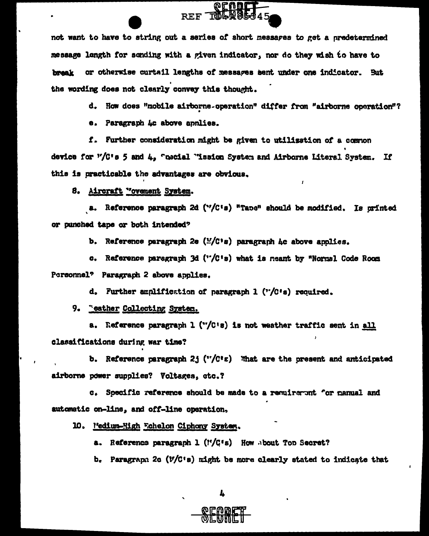not want to have to string out a series of short messares to get a predetermined message length for sending with a given indicator, nor do they wish to have to break or otherwise curtail lengths of messages sent under one indicator. But the wording does not clearly convey this thought.

REF TOLAGE

d. How does "mobile airborne-operation" differ from "airborne operation"?

e. Paragraph Ac above annlies.

f. Further consideration might be given to utilization of a common device for "/C's 5 and 4. "necial "ission System and Airborne Literal System. If this is practicable the advantages are obvious.

8. Aircraft "ovement System.

a. Reference paragraph 2d ("/C's) "Tape" should be modified. Is orinted or punched tape or both intended?

b. Reference paragraph 2e ( $\frac{1}{2}$ ( $\frac{1}{2}$ ) paragraph Ac above anolies.

c. Reference paragraph 3d ("/C's) what is meant by "Normal Code Room Personnel<sup>9</sup> Paragraph 2 above applies.

d. Further amplification of paragraph 1 ("/C's) required.

9. "eather Collecting System,

a. Reference paragraph 1 ("/C's) is not weather traffic sent in all classifications during war time?

b. Reference paragraph 2j ( $\mathbf{v}/\mathbf{C}$ 's) What are the present and anticipated airborne power supplies? Voltages, etc.?

c. Specific reference should be made to a requirement for manual and automatic on-line, and off-line operation,

10. Medium-High Fchelon Ciphony System.

a. Reference paragraph 1 (1'/C's) How about Top Secret?

b. Paragraph 2c  $(V/C^*s)$  might be more clearly stated to indicate that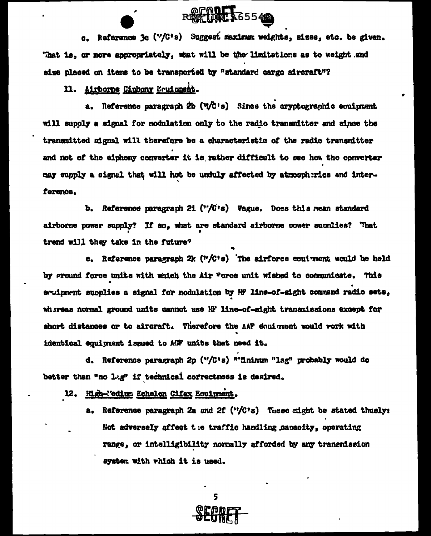**REMOVE 365549** 

c. Reference 3c ("/C's) Suggest maximum weights, sizes, etc. be given. "hat is, or more appropriately, what will be the limitations as to weight and size placed on items to be transported by "standard cargo aircraft"?

11. Airborne Ciphony Equippent.

a. Reference paragraph  $2b$  ( $\sqrt{c}$ 's) Since the cryptographic equipment will supply a signal for modulation only to the radio transmitter and since the transmitted signal will therefore be a characteristic of the radio transmitter and not of the ciphony converter it is rather difficult to see how the converter may supply a signal that will hot be unduly affected by atmospherics and interference.

b. Reference paragraph 21  $('/C's)$  Vague. Does this mean standard airborne power supply? If so, what are standard airborne cower supplies? "hat trend will they take in the future?

c. Reference paragraph 2k ("/C's) The airforce eoui ment would be held by ground force units with which the Air Torce unit wished to communicate. This equipment supplies a signal for modulation by HF line-of-sight command radio sets, whereas normal ground units cannot use HF line-of-sight transmissions except for short distances or to aircraft. Therefore the AAF equigment would rork with identical equipment issued to ACF units that need it.

d. Reference paragraph 2p ("/C's) ""inimum "lag" probably would do better than "no lag" if technical correctness is desired.

12. High-"edium Echelon Cifax Equipment.

a. Reference paragraph 2a and 2f ("/C's) These right be stated thusly: Not adversely affect the traffic handling canacity, operating range, or intelligibility normally afforded by any transmission system with which it is used.

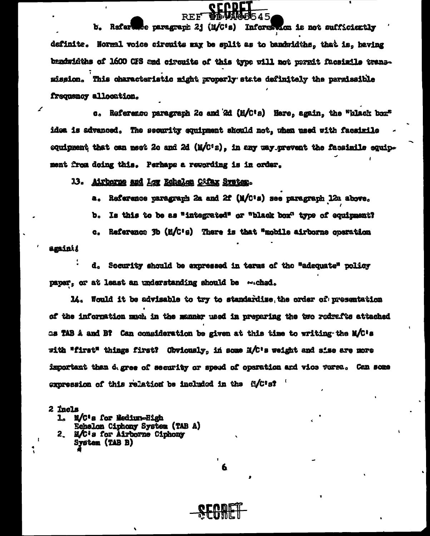b. Rafertude paragraph 2j (M/C's) Information is not sufficiently definite. Normal voice circuits may be split as to bandwidths, that is, having bandwidths of 1600 CFS and circuits of this type vill not permit facsimile transmission. This characteristic might properly state definitely the parmissible frequency allocation.

orndc

REF

c. Reference paragraph 2c and 2d (M/C's) Here, again, the "black box" idea is advanced. The security equipment should not, when used with facaimile equipment that can meet 2c and 2d (M/C<sup>1</sup>2), in any way prevent the facsimile equipment from doing this. Perhaps a rewording is in order.

13. Airborne and Low Echelon Cifax Svetex.

Reference paragraph 2a and 2f (M/C's) see paragraph 12a above. a.,

Is this to be as "integrated" or "black box" type of equipment? ъ.

Reference 3b (M/C's) There is that "mobile airborne operation **.** 

amini

d. Socurity should be expressed in tarms of the "adequate" policy paper, or at least an understanding should be wiched.

14. Would it be advisable to try to standardize, the order of presentation of the information much in the manner used in preparing the two redrafts attached as TAB A and B? Can consideration be given at this time to writing the M/C's with "first" things first? Obviously, in some M/C's weight and sise are more important than d. gree of security or speed of operation and vice verse. Can seme expression of this relation be included in the  $0/C$ 's?

 $2$  incls

- M/C's for Medium-High Echelon Ciphony System (TAB A)
- M/C's for Airborne Ciphony 2. System (TAB B)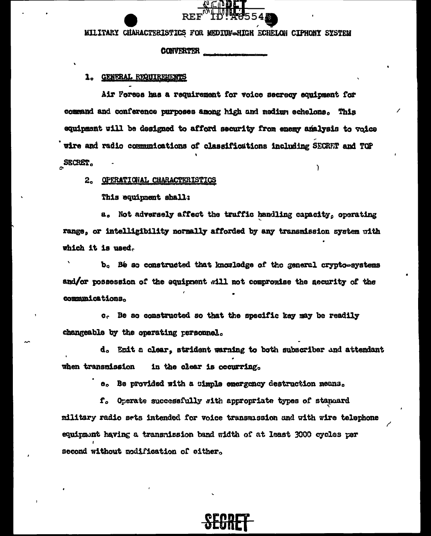MILITARY CHARACTERISTICS FOR MEDIUM-HIGH ECHELON CIPHONY SYSTEM

#### **CONVERTER**

#### 1. GENERAL REQUIREMENTS

Air Foress has a requirement for voice secreoy equipment for command and conference purposes among high and medium echelone. This equipment will be designed to afford security from enemy amalysis to voice wire and radio communications of classifications including SECRET and TOP SECRET.

#### 2. OPERATIONAL CHARACTERISTICS

This equipment shall:

a. Not adversely affect the traffic handling capacity, operating range, or intelligibility normally afforded by any transmission system with which it is used.

b. Bé so constructed that knowledge of the general crypto-systems and/or possession of the equipment will not compromise the aecurity of the communications.

c. Be so constructed so that the specific key may be readily changeable by the operating personnel.

d. Emit a clear, strident warning to both subscriber and attendant **when transmission** in the clear is occurring.

e. Be provided with a simple emergency destruction means.

f. Operate successfully with appropriate types of standard military radio sets intended for voice transmission and with wire telephone equipment having a transmission band width of at least 3000 cycles per second without modification of either.

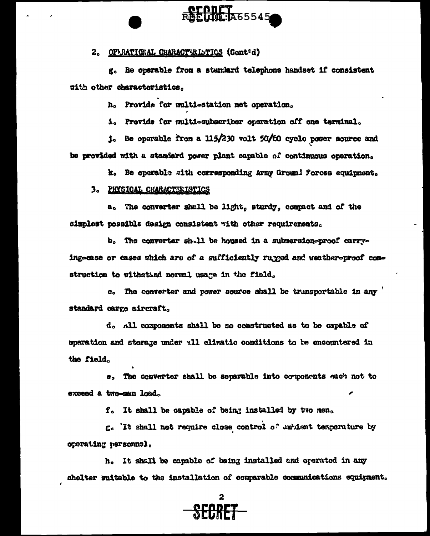### 2. OPERATIONAL CHARACTERISTICS (Cont'd)

g. Be operable from a standard telephone handset if consistent with other characteristics.

**OFODET**<br>RAEUIQ:1A65545

h. Provide for multi-station net operation.

1. Provide for multi-subscriber operation off one terminal.

j. Be operable from a 115/230 volt 50/60 cyclo power source and be provided with a standard power plant capable of continuous operation.

k. Be eperable with corresponding Army Ground Porces equipment.

#### 3. PHYSICAL CHARACTERISTICS

a, The converter shall be light, sturdy, compact and of the simplest possible design consistent with other requirements.

b. The converter sh.11 be housed in a submersion-proof carrying-case or cases which are of a sufficiently rugged and weather-proof construction to withstand normal usage in the field.

 $c_{\circ}$  The converter and power source shall be transportable in any  $'$ standard cargo aircraft.

d. All components shall be so constructed as to be capable of operation and storage under all climatic conditions to be encountered in the field.

e. The converter shall be separable into components each not to exceed a two-man load.

f. It shall be capable of being installed by two men.

g. It shall not require close control of unbient temperature by operating personnel.

h. It shall be capable of being installed and operated in any shelter suitable to the installation of comparable communications equipment.

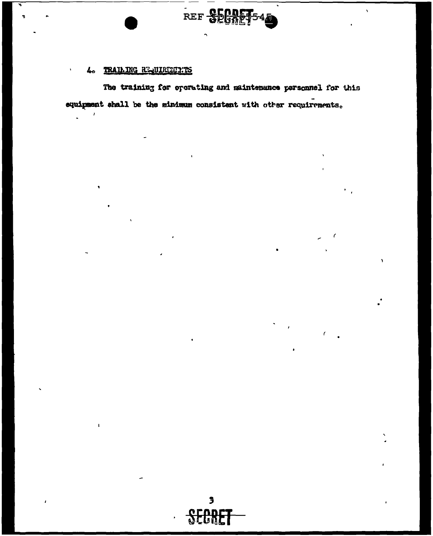

 $\lambda$ 

#### TRAILING REQUIRENTIES 4.

The training for operating and maintenance parsonnel for this equipment shall be the minimum consistent with other requirements.

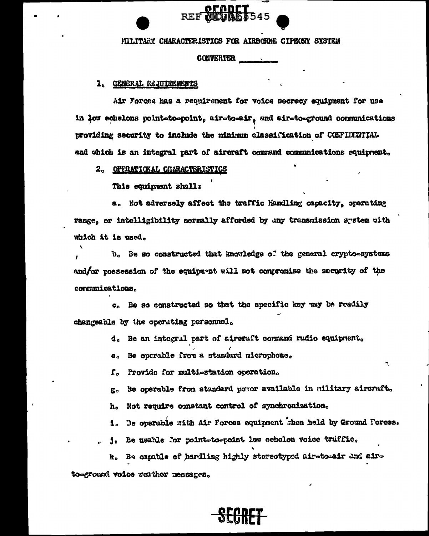#### HILITARY CHARACTERISTICS FOR AIRBORNE CIPHONY SYSTEM

**CONVERTER** 

#### 1. GENERAL REQUIREMENTS

Air Forces has a requirement for voice secrecy equipment for use in low echelons point-to-point, air-to-air, and air-to-ground communications providing security to include the minimum classification of CONFIDENTIAL and which is an integral part of aircraft command communications equipment.

2. OPERATIONAL CHARACTERISTICS

This equipment shall:

a. Not adversely affect the traffic handling capacity, operating range, or intelligibility normally afforded by any transmission system with which it is used.

b. Be so constructed that knowledge of the general crypto-systems and/or possession of the equipment will not compromise the security of the communications.

c. Be so constructed so that the specific key may be readily changeable by the operating personnel.

- d. Be an integral part of aircraft command radio equipment.
- Be outrable from a standard microphone.  $a_{\alpha}$
- f. Provide for multiestation operation.
- Be operable from standard povor available in military aircraft. g,
- h. Not require constant control of synchronization.
- 1. Be operable with Air Forces equipment when held by Ground Forces.
- j. Be usable for point-to-point low echelon voice truffic.

k. Be capable of hardling highly stereotyped airetoeair and aire to-ground voice weather messages.